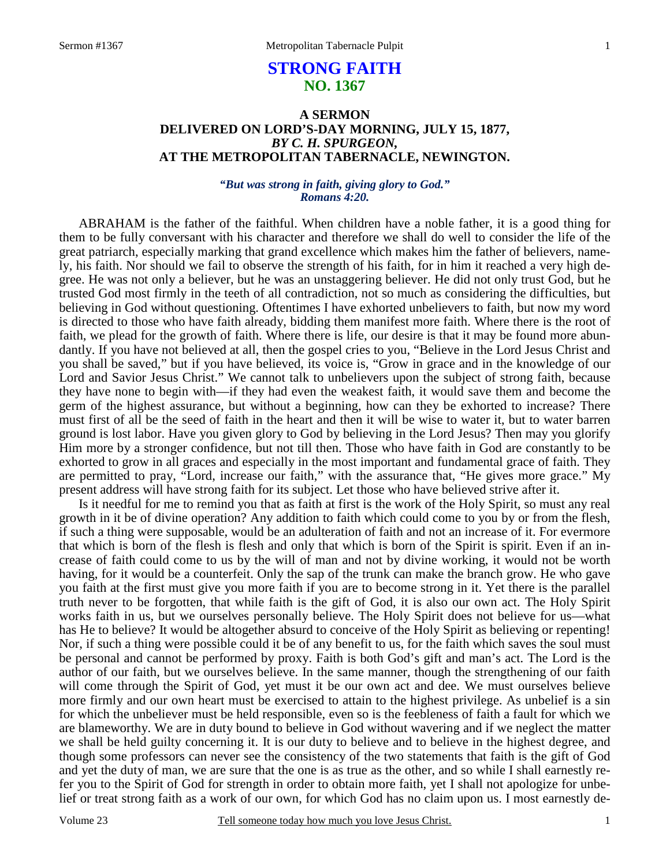# **STRONG FAITH NO. 1367**

## **A SERMON DELIVERED ON LORD'S-DAY MORNING, JULY 15, 1877,**  *BY C. H. SPURGEON,*  **AT THE METROPOLITAN TABERNACLE, NEWINGTON.**

### *"But was strong in faith, giving glory to God." Romans 4:20.*

ABRAHAM is the father of the faithful. When children have a noble father, it is a good thing for them to be fully conversant with his character and therefore we shall do well to consider the life of the great patriarch, especially marking that grand excellence which makes him the father of believers, namely, his faith. Nor should we fail to observe the strength of his faith, for in him it reached a very high degree. He was not only a believer, but he was an unstaggering believer. He did not only trust God, but he trusted God most firmly in the teeth of all contradiction, not so much as considering the difficulties, but believing in God without questioning. Oftentimes I have exhorted unbelievers to faith, but now my word is directed to those who have faith already, bidding them manifest more faith. Where there is the root of faith, we plead for the growth of faith. Where there is life, our desire is that it may be found more abundantly. If you have not believed at all, then the gospel cries to you, "Believe in the Lord Jesus Christ and you shall be saved," but if you have believed, its voice is, "Grow in grace and in the knowledge of our Lord and Savior Jesus Christ." We cannot talk to unbelievers upon the subject of strong faith, because they have none to begin with—if they had even the weakest faith, it would save them and become the germ of the highest assurance, but without a beginning, how can they be exhorted to increase? There must first of all be the seed of faith in the heart and then it will be wise to water it, but to water barren ground is lost labor. Have you given glory to God by believing in the Lord Jesus? Then may you glorify Him more by a stronger confidence, but not till then. Those who have faith in God are constantly to be exhorted to grow in all graces and especially in the most important and fundamental grace of faith. They are permitted to pray, "Lord, increase our faith," with the assurance that, "He gives more grace." My present address will have strong faith for its subject. Let those who have believed strive after it.

Is it needful for me to remind you that as faith at first is the work of the Holy Spirit, so must any real growth in it be of divine operation? Any addition to faith which could come to you by or from the flesh, if such a thing were supposable, would be an adulteration of faith and not an increase of it. For evermore that which is born of the flesh is flesh and only that which is born of the Spirit is spirit. Even if an increase of faith could come to us by the will of man and not by divine working, it would not be worth having, for it would be a counterfeit. Only the sap of the trunk can make the branch grow. He who gave you faith at the first must give you more faith if you are to become strong in it. Yet there is the parallel truth never to be forgotten, that while faith is the gift of God, it is also our own act. The Holy Spirit works faith in us, but we ourselves personally believe. The Holy Spirit does not believe for us—what has He to believe? It would be altogether absurd to conceive of the Holy Spirit as believing or repenting! Nor, if such a thing were possible could it be of any benefit to us, for the faith which saves the soul must be personal and cannot be performed by proxy. Faith is both God's gift and man's act. The Lord is the author of our faith, but we ourselves believe. In the same manner, though the strengthening of our faith will come through the Spirit of God, yet must it be our own act and dee. We must ourselves believe more firmly and our own heart must be exercised to attain to the highest privilege. As unbelief is a sin for which the unbeliever must be held responsible, even so is the feebleness of faith a fault for which we are blameworthy. We are in duty bound to believe in God without wavering and if we neglect the matter we shall be held guilty concerning it. It is our duty to believe and to believe in the highest degree, and though some professors can never see the consistency of the two statements that faith is the gift of God and yet the duty of man, we are sure that the one is as true as the other, and so while I shall earnestly refer you to the Spirit of God for strength in order to obtain more faith, yet I shall not apologize for unbelief or treat strong faith as a work of our own, for which God has no claim upon us. I most earnestly de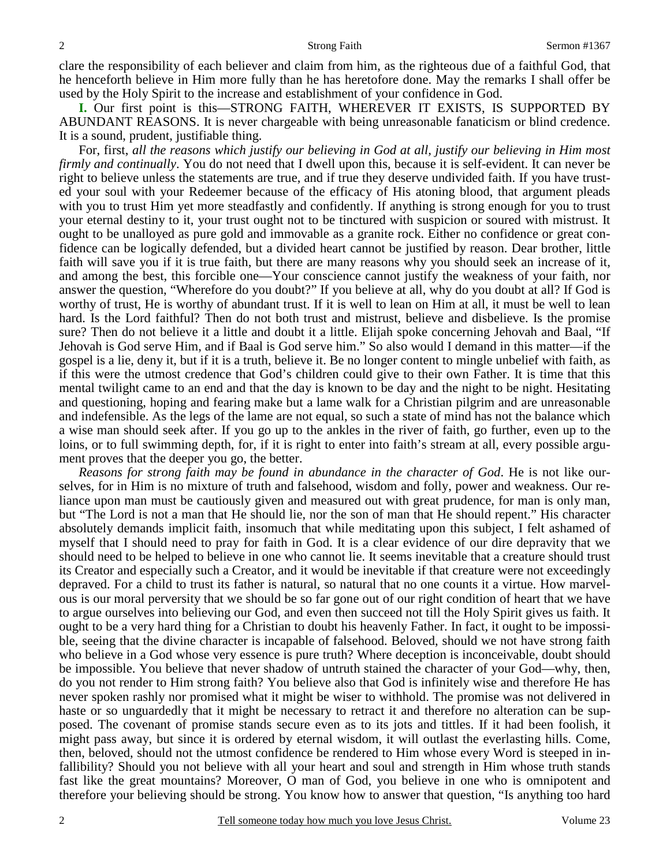clare the responsibility of each believer and claim from him, as the righteous due of a faithful God, that he henceforth believe in Him more fully than he has heretofore done. May the remarks I shall offer be used by the Holy Spirit to the increase and establishment of your confidence in God.

**I.** Our first point is this—STRONG FAITH, WHEREVER IT EXISTS, IS SUPPORTED BY ABUNDANT REASONS. It is never chargeable with being unreasonable fanaticism or blind credence. It is a sound, prudent, justifiable thing.

For, first, *all the reasons which justify our believing in God at all, justify our believing in Him most firmly and continually*. You do not need that I dwell upon this, because it is self-evident. It can never be right to believe unless the statements are true, and if true they deserve undivided faith. If you have trusted your soul with your Redeemer because of the efficacy of His atoning blood, that argument pleads with you to trust Him yet more steadfastly and confidently. If anything is strong enough for you to trust your eternal destiny to it, your trust ought not to be tinctured with suspicion or soured with mistrust. It ought to be unalloyed as pure gold and immovable as a granite rock. Either no confidence or great confidence can be logically defended, but a divided heart cannot be justified by reason. Dear brother, little faith will save you if it is true faith, but there are many reasons why you should seek an increase of it, and among the best, this forcible one—Your conscience cannot justify the weakness of your faith, nor answer the question, "Wherefore do you doubt?" If you believe at all, why do you doubt at all? If God is worthy of trust, He is worthy of abundant trust. If it is well to lean on Him at all, it must be well to lean hard. Is the Lord faithful? Then do not both trust and mistrust, believe and disbelieve. Is the promise sure? Then do not believe it a little and doubt it a little. Elijah spoke concerning Jehovah and Baal, "If Jehovah is God serve Him, and if Baal is God serve him." So also would I demand in this matter—if the gospel is a lie, deny it, but if it is a truth, believe it. Be no longer content to mingle unbelief with faith, as if this were the utmost credence that God's children could give to their own Father. It is time that this mental twilight came to an end and that the day is known to be day and the night to be night. Hesitating and questioning, hoping and fearing make but a lame walk for a Christian pilgrim and are unreasonable and indefensible. As the legs of the lame are not equal, so such a state of mind has not the balance which a wise man should seek after. If you go up to the ankles in the river of faith, go further, even up to the loins, or to full swimming depth, for, if it is right to enter into faith's stream at all, every possible argument proves that the deeper you go, the better.

*Reasons for strong faith may be found in abundance in the character of God*. He is not like ourselves, for in Him is no mixture of truth and falsehood, wisdom and folly, power and weakness. Our reliance upon man must be cautiously given and measured out with great prudence, for man is only man, but "The Lord is not a man that He should lie, nor the son of man that He should repent." His character absolutely demands implicit faith, insomuch that while meditating upon this subject, I felt ashamed of myself that I should need to pray for faith in God. It is a clear evidence of our dire depravity that we should need to be helped to believe in one who cannot lie. It seems inevitable that a creature should trust its Creator and especially such a Creator, and it would be inevitable if that creature were not exceedingly depraved. For a child to trust its father is natural, so natural that no one counts it a virtue. How marvelous is our moral perversity that we should be so far gone out of our right condition of heart that we have to argue ourselves into believing our God, and even then succeed not till the Holy Spirit gives us faith. It ought to be a very hard thing for a Christian to doubt his heavenly Father. In fact, it ought to be impossible, seeing that the divine character is incapable of falsehood. Beloved, should we not have strong faith who believe in a God whose very essence is pure truth? Where deception is inconceivable, doubt should be impossible. You believe that never shadow of untruth stained the character of your God—why, then, do you not render to Him strong faith? You believe also that God is infinitely wise and therefore He has never spoken rashly nor promised what it might be wiser to withhold. The promise was not delivered in haste or so unguardedly that it might be necessary to retract it and therefore no alteration can be supposed. The covenant of promise stands secure even as to its jots and tittles. If it had been foolish, it might pass away, but since it is ordered by eternal wisdom, it will outlast the everlasting hills. Come, then, beloved, should not the utmost confidence be rendered to Him whose every Word is steeped in infallibility? Should you not believe with all your heart and soul and strength in Him whose truth stands fast like the great mountains? Moreover, O man of God, you believe in one who is omnipotent and therefore your believing should be strong. You know how to answer that question, "Is anything too hard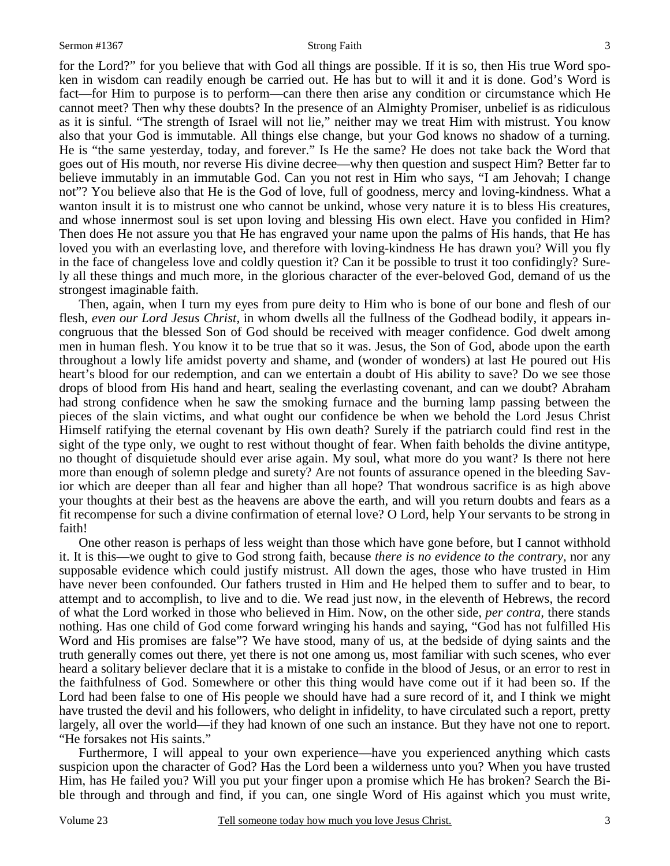for the Lord?" for you believe that with God all things are possible. If it is so, then His true Word spoken in wisdom can readily enough be carried out. He has but to will it and it is done. God's Word is fact—for Him to purpose is to perform—can there then arise any condition or circumstance which He cannot meet? Then why these doubts? In the presence of an Almighty Promiser, unbelief is as ridiculous as it is sinful. "The strength of Israel will not lie," neither may we treat Him with mistrust. You know also that your God is immutable. All things else change, but your God knows no shadow of a turning. He is "the same yesterday, today, and forever." Is He the same? He does not take back the Word that goes out of His mouth, nor reverse His divine decree—why then question and suspect Him? Better far to believe immutably in an immutable God. Can you not rest in Him who says, "I am Jehovah; I change not"? You believe also that He is the God of love, full of goodness, mercy and loving-kindness. What a wanton insult it is to mistrust one who cannot be unkind, whose very nature it is to bless His creatures, and whose innermost soul is set upon loving and blessing His own elect. Have you confided in Him? Then does He not assure you that He has engraved your name upon the palms of His hands, that He has loved you with an everlasting love, and therefore with loving-kindness He has drawn you? Will you fly in the face of changeless love and coldly question it? Can it be possible to trust it too confidingly? Surely all these things and much more, in the glorious character of the ever-beloved God, demand of us the strongest imaginable faith.

Then, again, when I turn my eyes from pure deity to Him who is bone of our bone and flesh of our flesh, *even our Lord Jesus Christ,* in whom dwells all the fullness of the Godhead bodily, it appears incongruous that the blessed Son of God should be received with meager confidence. God dwelt among men in human flesh. You know it to be true that so it was. Jesus, the Son of God, abode upon the earth throughout a lowly life amidst poverty and shame, and (wonder of wonders) at last He poured out His heart's blood for our redemption, and can we entertain a doubt of His ability to save? Do we see those drops of blood from His hand and heart, sealing the everlasting covenant, and can we doubt? Abraham had strong confidence when he saw the smoking furnace and the burning lamp passing between the pieces of the slain victims, and what ought our confidence be when we behold the Lord Jesus Christ Himself ratifying the eternal covenant by His own death? Surely if the patriarch could find rest in the sight of the type only, we ought to rest without thought of fear. When faith beholds the divine antitype, no thought of disquietude should ever arise again. My soul, what more do you want? Is there not here more than enough of solemn pledge and surety? Are not founts of assurance opened in the bleeding Savior which are deeper than all fear and higher than all hope? That wondrous sacrifice is as high above your thoughts at their best as the heavens are above the earth, and will you return doubts and fears as a fit recompense for such a divine confirmation of eternal love? O Lord, help Your servants to be strong in faith!

One other reason is perhaps of less weight than those which have gone before, but I cannot withhold it. It is this—we ought to give to God strong faith, because *there is no evidence to the contrary,* nor any supposable evidence which could justify mistrust. All down the ages, those who have trusted in Him have never been confounded. Our fathers trusted in Him and He helped them to suffer and to bear, to attempt and to accomplish, to live and to die. We read just now, in the eleventh of Hebrews, the record of what the Lord worked in those who believed in Him. Now, on the other side, *per contra,* there stands nothing. Has one child of God come forward wringing his hands and saying, "God has not fulfilled His Word and His promises are false"? We have stood, many of us, at the bedside of dying saints and the truth generally comes out there, yet there is not one among us, most familiar with such scenes, who ever heard a solitary believer declare that it is a mistake to confide in the blood of Jesus, or an error to rest in the faithfulness of God. Somewhere or other this thing would have come out if it had been so. If the Lord had been false to one of His people we should have had a sure record of it, and I think we might have trusted the devil and his followers, who delight in infidelity, to have circulated such a report, pretty largely, all over the world—if they had known of one such an instance. But they have not one to report. "He forsakes not His saints."

Furthermore, I will appeal to your own experience—have you experienced anything which casts suspicion upon the character of God? Has the Lord been a wilderness unto you? When you have trusted Him, has He failed you? Will you put your finger upon a promise which He has broken? Search the Bible through and through and find, if you can, one single Word of His against which you must write,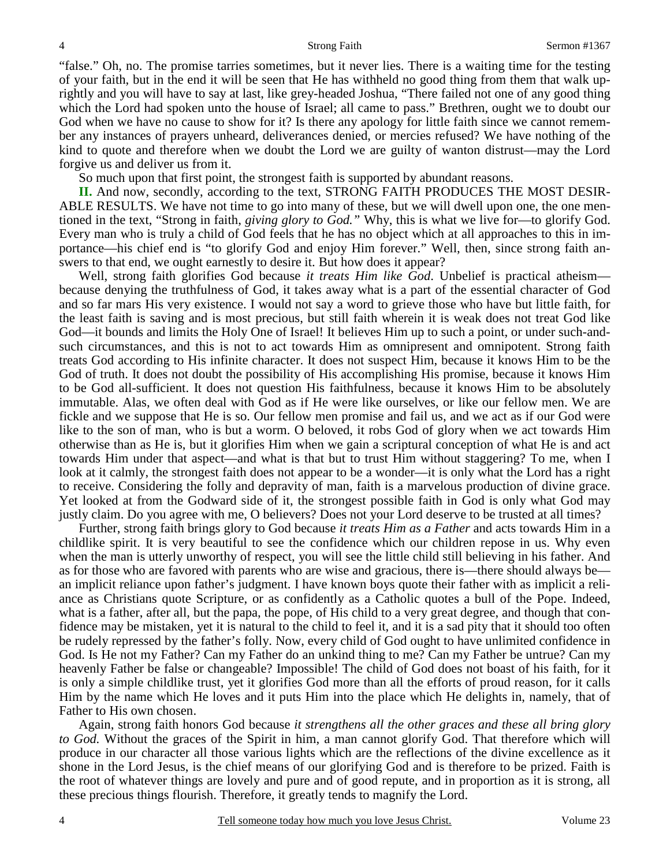"false." Oh, no. The promise tarries sometimes, but it never lies. There is a waiting time for the testing of your faith, but in the end it will be seen that He has withheld no good thing from them that walk uprightly and you will have to say at last, like grey-headed Joshua, "There failed not one of any good thing which the Lord had spoken unto the house of Israel; all came to pass." Brethren, ought we to doubt our God when we have no cause to show for it? Is there any apology for little faith since we cannot remember any instances of prayers unheard, deliverances denied, or mercies refused? We have nothing of the kind to quote and therefore when we doubt the Lord we are guilty of wanton distrust—may the Lord forgive us and deliver us from it.

So much upon that first point, the strongest faith is supported by abundant reasons.

**II.** And now, secondly, according to the text, STRONG FAITH PRODUCES THE MOST DESIR-ABLE RESULTS. We have not time to go into many of these, but we will dwell upon one, the one mentioned in the text, "Strong in faith, *giving glory to God."* Why, this is what we live for—to glorify God. Every man who is truly a child of God feels that he has no object which at all approaches to this in importance—his chief end is "to glorify God and enjoy Him forever." Well, then, since strong faith answers to that end, we ought earnestly to desire it. But how does it appear?

Well, strong faith glorifies God because *it treats Him like God*. Unbelief is practical atheism because denying the truthfulness of God, it takes away what is a part of the essential character of God and so far mars His very existence. I would not say a word to grieve those who have but little faith, for the least faith is saving and is most precious, but still faith wherein it is weak does not treat God like God—it bounds and limits the Holy One of Israel! It believes Him up to such a point, or under such-andsuch circumstances, and this is not to act towards Him as omnipresent and omnipotent. Strong faith treats God according to His infinite character. It does not suspect Him, because it knows Him to be the God of truth. It does not doubt the possibility of His accomplishing His promise, because it knows Him to be God all-sufficient. It does not question His faithfulness, because it knows Him to be absolutely immutable. Alas, we often deal with God as if He were like ourselves, or like our fellow men. We are fickle and we suppose that He is so. Our fellow men promise and fail us, and we act as if our God were like to the son of man, who is but a worm. O beloved, it robs God of glory when we act towards Him otherwise than as He is, but it glorifies Him when we gain a scriptural conception of what He is and act towards Him under that aspect—and what is that but to trust Him without staggering? To me, when I look at it calmly, the strongest faith does not appear to be a wonder—it is only what the Lord has a right to receive. Considering the folly and depravity of man, faith is a marvelous production of divine grace. Yet looked at from the Godward side of it, the strongest possible faith in God is only what God may justly claim. Do you agree with me, O believers? Does not your Lord deserve to be trusted at all times?

Further, strong faith brings glory to God because *it treats Him as a Father* and acts towards Him in a childlike spirit. It is very beautiful to see the confidence which our children repose in us. Why even when the man is utterly unworthy of respect, you will see the little child still believing in his father. And as for those who are favored with parents who are wise and gracious, there is—there should always be an implicit reliance upon father's judgment. I have known boys quote their father with as implicit a reliance as Christians quote Scripture, or as confidently as a Catholic quotes a bull of the Pope. Indeed, what is a father, after all, but the papa, the pope, of His child to a very great degree, and though that confidence may be mistaken, yet it is natural to the child to feel it, and it is a sad pity that it should too often be rudely repressed by the father's folly. Now, every child of God ought to have unlimited confidence in God. Is He not my Father? Can my Father do an unkind thing to me? Can my Father be untrue? Can my heavenly Father be false or changeable? Impossible! The child of God does not boast of his faith, for it is only a simple childlike trust, yet it glorifies God more than all the efforts of proud reason, for it calls Him by the name which He loves and it puts Him into the place which He delights in, namely, that of Father to His own chosen.

Again, strong faith honors God because *it strengthens all the other graces and these all bring glory to God.* Without the graces of the Spirit in him, a man cannot glorify God. That therefore which will produce in our character all those various lights which are the reflections of the divine excellence as it shone in the Lord Jesus, is the chief means of our glorifying God and is therefore to be prized. Faith is the root of whatever things are lovely and pure and of good repute, and in proportion as it is strong, all these precious things flourish. Therefore, it greatly tends to magnify the Lord.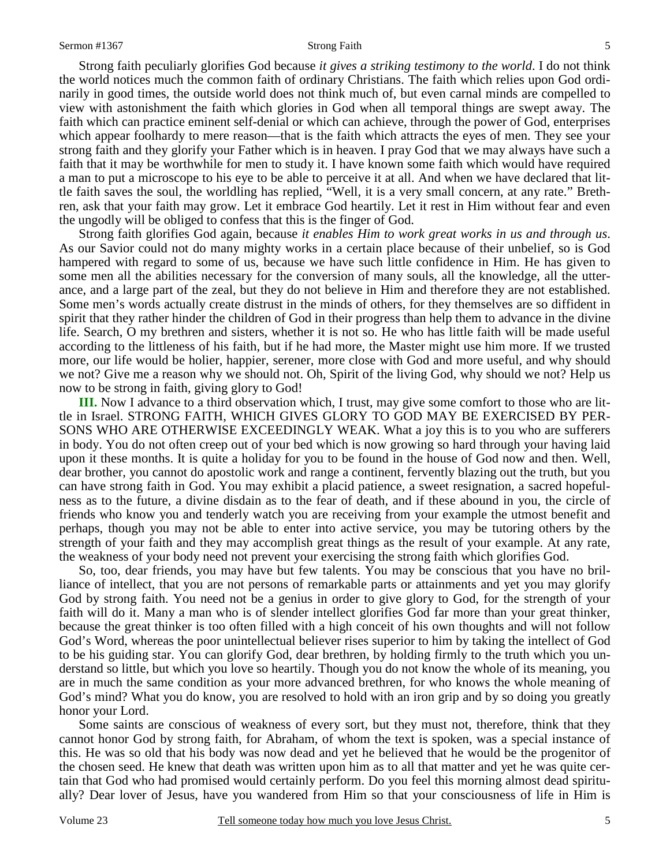Strong faith peculiarly glorifies God because *it gives a striking testimony to the world*. I do not think the world notices much the common faith of ordinary Christians. The faith which relies upon God ordinarily in good times, the outside world does not think much of, but even carnal minds are compelled to view with astonishment the faith which glories in God when all temporal things are swept away. The faith which can practice eminent self-denial or which can achieve, through the power of God, enterprises which appear foolhardy to mere reason—that is the faith which attracts the eyes of men. They see your strong faith and they glorify your Father which is in heaven. I pray God that we may always have such a faith that it may be worthwhile for men to study it. I have known some faith which would have required a man to put a microscope to his eye to be able to perceive it at all. And when we have declared that little faith saves the soul, the worldling has replied, "Well, it is a very small concern, at any rate." Brethren, ask that your faith may grow. Let it embrace God heartily. Let it rest in Him without fear and even the ungodly will be obliged to confess that this is the finger of God.

Strong faith glorifies God again, because *it enables Him to work great works in us and through us*. As our Savior could not do many mighty works in a certain place because of their unbelief, so is God hampered with regard to some of us, because we have such little confidence in Him. He has given to some men all the abilities necessary for the conversion of many souls, all the knowledge, all the utterance, and a large part of the zeal, but they do not believe in Him and therefore they are not established. Some men's words actually create distrust in the minds of others, for they themselves are so diffident in spirit that they rather hinder the children of God in their progress than help them to advance in the divine life. Search, O my brethren and sisters, whether it is not so. He who has little faith will be made useful according to the littleness of his faith, but if he had more, the Master might use him more. If we trusted more, our life would be holier, happier, serener, more close with God and more useful, and why should we not? Give me a reason why we should not. Oh, Spirit of the living God, why should we not? Help us now to be strong in faith, giving glory to God!

**III.** Now I advance to a third observation which, I trust, may give some comfort to those who are little in Israel. STRONG FAITH, WHICH GIVES GLORY TO GOD MAY BE EXERCISED BY PER-SONS WHO ARE OTHERWISE EXCEEDINGLY WEAK. What a joy this is to you who are sufferers in body. You do not often creep out of your bed which is now growing so hard through your having laid upon it these months. It is quite a holiday for you to be found in the house of God now and then. Well, dear brother, you cannot do apostolic work and range a continent, fervently blazing out the truth, but you can have strong faith in God. You may exhibit a placid patience, a sweet resignation, a sacred hopefulness as to the future, a divine disdain as to the fear of death, and if these abound in you, the circle of friends who know you and tenderly watch you are receiving from your example the utmost benefit and perhaps, though you may not be able to enter into active service, you may be tutoring others by the strength of your faith and they may accomplish great things as the result of your example. At any rate, the weakness of your body need not prevent your exercising the strong faith which glorifies God.

So, too, dear friends, you may have but few talents. You may be conscious that you have no brilliance of intellect, that you are not persons of remarkable parts or attainments and yet you may glorify God by strong faith. You need not be a genius in order to give glory to God, for the strength of your faith will do it. Many a man who is of slender intellect glorifies God far more than your great thinker, because the great thinker is too often filled with a high conceit of his own thoughts and will not follow God's Word, whereas the poor unintellectual believer rises superior to him by taking the intellect of God to be his guiding star. You can glorify God, dear brethren, by holding firmly to the truth which you understand so little, but which you love so heartily. Though you do not know the whole of its meaning, you are in much the same condition as your more advanced brethren, for who knows the whole meaning of God's mind? What you do know, you are resolved to hold with an iron grip and by so doing you greatly honor your Lord.

Some saints are conscious of weakness of every sort, but they must not, therefore, think that they cannot honor God by strong faith, for Abraham, of whom the text is spoken, was a special instance of this. He was so old that his body was now dead and yet he believed that he would be the progenitor of the chosen seed. He knew that death was written upon him as to all that matter and yet he was quite certain that God who had promised would certainly perform. Do you feel this morning almost dead spiritually? Dear lover of Jesus, have you wandered from Him so that your consciousness of life in Him is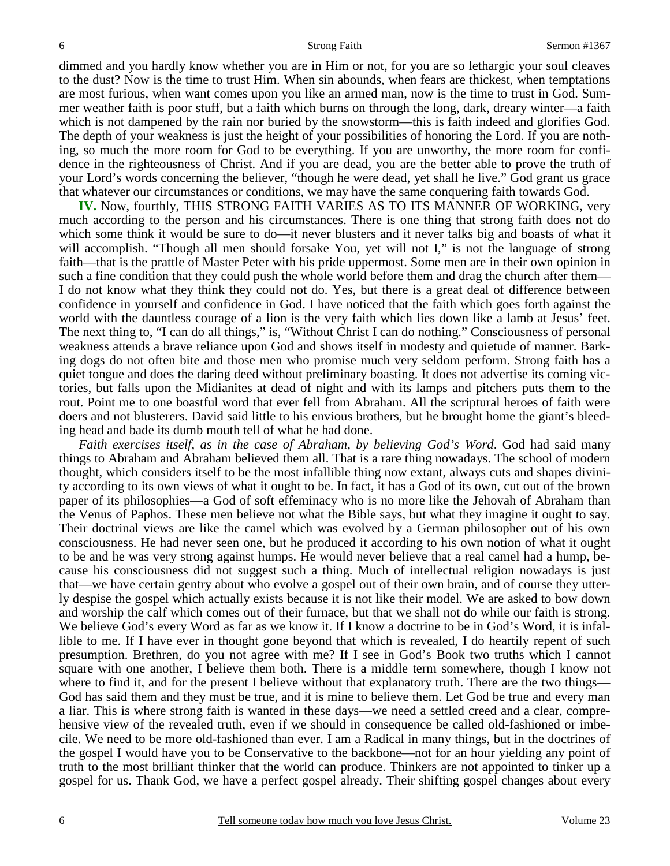dimmed and you hardly know whether you are in Him or not, for you are so lethargic your soul cleaves to the dust? Now is the time to trust Him. When sin abounds, when fears are thickest, when temptations are most furious, when want comes upon you like an armed man, now is the time to trust in God. Summer weather faith is poor stuff, but a faith which burns on through the long, dark, dreary winter—a faith which is not dampened by the rain nor buried by the snowstorm—this is faith indeed and glorifies God. The depth of your weakness is just the height of your possibilities of honoring the Lord. If you are nothing, so much the more room for God to be everything. If you are unworthy, the more room for confidence in the righteousness of Christ. And if you are dead, you are the better able to prove the truth of your Lord's words concerning the believer, "though he were dead, yet shall he live." God grant us grace that whatever our circumstances or conditions, we may have the same conquering faith towards God.

**IV.** Now, fourthly, THIS STRONG FAITH VARIES AS TO ITS MANNER OF WORKING, very much according to the person and his circumstances. There is one thing that strong faith does not do which some think it would be sure to do—it never blusters and it never talks big and boasts of what it will accomplish. "Though all men should forsake You, yet will not I," is not the language of strong faith—that is the prattle of Master Peter with his pride uppermost. Some men are in their own opinion in such a fine condition that they could push the whole world before them and drag the church after them— I do not know what they think they could not do. Yes, but there is a great deal of difference between confidence in yourself and confidence in God. I have noticed that the faith which goes forth against the world with the dauntless courage of a lion is the very faith which lies down like a lamb at Jesus' feet. The next thing to, "I can do all things," is, "Without Christ I can do nothing." Consciousness of personal weakness attends a brave reliance upon God and shows itself in modesty and quietude of manner. Barking dogs do not often bite and those men who promise much very seldom perform. Strong faith has a quiet tongue and does the daring deed without preliminary boasting. It does not advertise its coming victories, but falls upon the Midianites at dead of night and with its lamps and pitchers puts them to the rout. Point me to one boastful word that ever fell from Abraham. All the scriptural heroes of faith were doers and not blusterers. David said little to his envious brothers, but he brought home the giant's bleeding head and bade its dumb mouth tell of what he had done.

*Faith exercises itself, as in the case of Abraham, by believing God's Word*. God had said many things to Abraham and Abraham believed them all. That is a rare thing nowadays. The school of modern thought, which considers itself to be the most infallible thing now extant, always cuts and shapes divinity according to its own views of what it ought to be. In fact, it has a God of its own, cut out of the brown paper of its philosophies—a God of soft effeminacy who is no more like the Jehovah of Abraham than the Venus of Paphos. These men believe not what the Bible says, but what they imagine it ought to say. Their doctrinal views are like the camel which was evolved by a German philosopher out of his own consciousness. He had never seen one, but he produced it according to his own notion of what it ought to be and he was very strong against humps. He would never believe that a real camel had a hump, because his consciousness did not suggest such a thing. Much of intellectual religion nowadays is just that—we have certain gentry about who evolve a gospel out of their own brain, and of course they utterly despise the gospel which actually exists because it is not like their model. We are asked to bow down and worship the calf which comes out of their furnace, but that we shall not do while our faith is strong. We believe God's every Word as far as we know it. If I know a doctrine to be in God's Word, it is infallible to me. If I have ever in thought gone beyond that which is revealed, I do heartily repent of such presumption. Brethren, do you not agree with me? If I see in God's Book two truths which I cannot square with one another, I believe them both. There is a middle term somewhere, though I know not where to find it, and for the present I believe without that explanatory truth. There are the two things— God has said them and they must be true, and it is mine to believe them. Let God be true and every man a liar. This is where strong faith is wanted in these days—we need a settled creed and a clear, comprehensive view of the revealed truth, even if we should in consequence be called old-fashioned or imbecile. We need to be more old-fashioned than ever. I am a Radical in many things, but in the doctrines of the gospel I would have you to be Conservative to the backbone—not for an hour yielding any point of truth to the most brilliant thinker that the world can produce. Thinkers are not appointed to tinker up a gospel for us. Thank God, we have a perfect gospel already. Their shifting gospel changes about every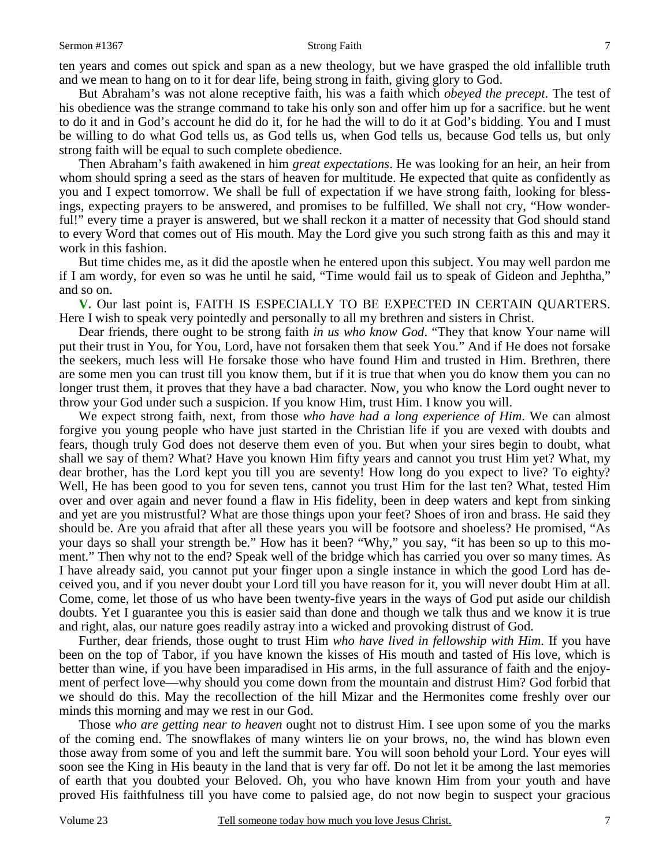ten years and comes out spick and span as a new theology, but we have grasped the old infallible truth and we mean to hang on to it for dear life, being strong in faith, giving glory to God.

But Abraham's was not alone receptive faith, his was a faith which *obeyed the precept*. The test of his obedience was the strange command to take his only son and offer him up for a sacrifice. but he went to do it and in God's account he did do it, for he had the will to do it at God's bidding. You and I must be willing to do what God tells us, as God tells us, when God tells us, because God tells us, but only strong faith will be equal to such complete obedience.

Then Abraham's faith awakened in him *great expectations*. He was looking for an heir, an heir from whom should spring a seed as the stars of heaven for multitude. He expected that quite as confidently as you and I expect tomorrow. We shall be full of expectation if we have strong faith, looking for blessings, expecting prayers to be answered, and promises to be fulfilled. We shall not cry, "How wonderful!" every time a prayer is answered, but we shall reckon it a matter of necessity that God should stand to every Word that comes out of His mouth. May the Lord give you such strong faith as this and may it work in this fashion.

But time chides me, as it did the apostle when he entered upon this subject. You may well pardon me if I am wordy, for even so was he until he said, "Time would fail us to speak of Gideon and Jephtha," and so on.

**V.** Our last point is, FAITH IS ESPECIALLY TO BE EXPECTED IN CERTAIN QUARTERS. Here I wish to speak very pointedly and personally to all my brethren and sisters in Christ.

Dear friends, there ought to be strong faith *in us who know God*. "They that know Your name will put their trust in You, for You, Lord, have not forsaken them that seek You." And if He does not forsake the seekers, much less will He forsake those who have found Him and trusted in Him. Brethren, there are some men you can trust till you know them, but if it is true that when you do know them you can no longer trust them, it proves that they have a bad character. Now, you who know the Lord ought never to throw your God under such a suspicion. If you know Him, trust Him. I know you will.

We expect strong faith, next, from those *who have had a long experience of Him*. We can almost forgive you young people who have just started in the Christian life if you are vexed with doubts and fears, though truly God does not deserve them even of you. But when your sires begin to doubt, what shall we say of them? What? Have you known Him fifty years and cannot you trust Him yet? What, my dear brother, has the Lord kept you till you are seventy! How long do you expect to live? To eighty? Well, He has been good to you for seven tens, cannot you trust Him for the last ten? What, tested Him over and over again and never found a flaw in His fidelity, been in deep waters and kept from sinking and yet are you mistrustful? What are those things upon your feet? Shoes of iron and brass. He said they should be. Are you afraid that after all these years you will be footsore and shoeless? He promised, "As your days so shall your strength be." How has it been? "Why," you say, "it has been so up to this moment." Then why not to the end? Speak well of the bridge which has carried you over so many times. As I have already said, you cannot put your finger upon a single instance in which the good Lord has deceived you, and if you never doubt your Lord till you have reason for it, you will never doubt Him at all. Come, come, let those of us who have been twenty-five years in the ways of God put aside our childish doubts. Yet I guarantee you this is easier said than done and though we talk thus and we know it is true and right, alas, our nature goes readily astray into a wicked and provoking distrust of God.

Further, dear friends, those ought to trust Him *who have lived in fellowship with Him*. If you have been on the top of Tabor, if you have known the kisses of His mouth and tasted of His love, which is better than wine, if you have been imparadised in His arms, in the full assurance of faith and the enjoyment of perfect love—why should you come down from the mountain and distrust Him? God forbid that we should do this. May the recollection of the hill Mizar and the Hermonites come freshly over our minds this morning and may we rest in our God.

Those *who are getting near to heaven* ought not to distrust Him. I see upon some of you the marks of the coming end. The snowflakes of many winters lie on your brows, no, the wind has blown even those away from some of you and left the summit bare. You will soon behold your Lord. Your eyes will soon see the King in His beauty in the land that is very far off. Do not let it be among the last memories of earth that you doubted your Beloved. Oh, you who have known Him from your youth and have proved His faithfulness till you have come to palsied age, do not now begin to suspect your gracious

7